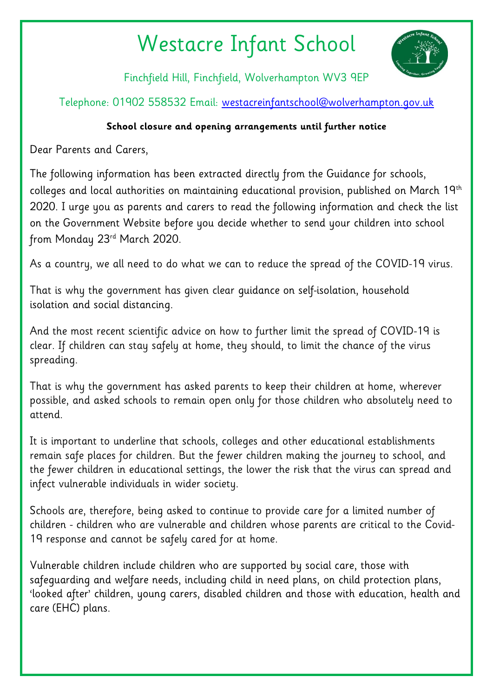## Westacre Infant School



Finchfield Hill, Finchfield, Wolverhampton WV3 9EP

Telephone: 01902 558532 Email: [westacreinfantschool@wolverhampton.gov.uk](mailto:westacreinfantschool@wolverhampton.gov.uk)

## **School closure and opening arrangements until further notice**

Dear Parents and Carers,

The following information has been extracted directly from the Guidance for schools, colleges and local authorities on maintaining educational provision, published on March 19th 2020. I urge you as parents and carers to read the following information and check the list on the Government Website before you decide whether to send your children into school from Monday 23rd March 2020.

As a country, we all need to do what we can to reduce the spread of the COVID-19 virus.

That is why the government has given clear guidance on [self-isolation,](https://www.nhs.uk/conditions/coronavirus-covid-19/self-isolation-advice/) [household](https://www.gov.uk/government/publications/covid-19-stay-at-home-guidance) [isolation](https://www.gov.uk/government/publications/covid-19-stay-at-home-guidance) and social [distancing.](https://www.gov.uk/government/publications/covid-19-guidance-on-social-distancing-and-for-vulnerable-people)

And the most recent scientific advice on how to further limit the spread of COVID-19 is clear. If children can stay safely at home, they should, to limit the chance of the virus spreading.

That is why the government has asked parents to keep their children at home, wherever possible, and asked schools to remain open only for those children who absolutely need to attend.

It is important to underline that schools, colleges and other educational establishments remain safe places for children. But the fewer children making the journey to school, and the fewer children in educational settings, the lower the risk that the virus can spread and infect vulnerable individuals in wider society.

Schools are, therefore, being asked to continue to provide care for a limited number of children - children who are vulnerable and children whose parents are critical to the Covid-19 response and cannot be safely cared for at home.

Vulnerable children include children who are supported by social care, those with safeguarding and welfare needs, including child in need plans, on child protection plans, 'looked after' children, young carers, disabled children and those with [education,](https://www.gov.uk/children-with-special-educational-needs/extra-SEN-help) health and care [\(EHC\)](https://www.gov.uk/children-with-special-educational-needs/extra-SEN-help) plans.